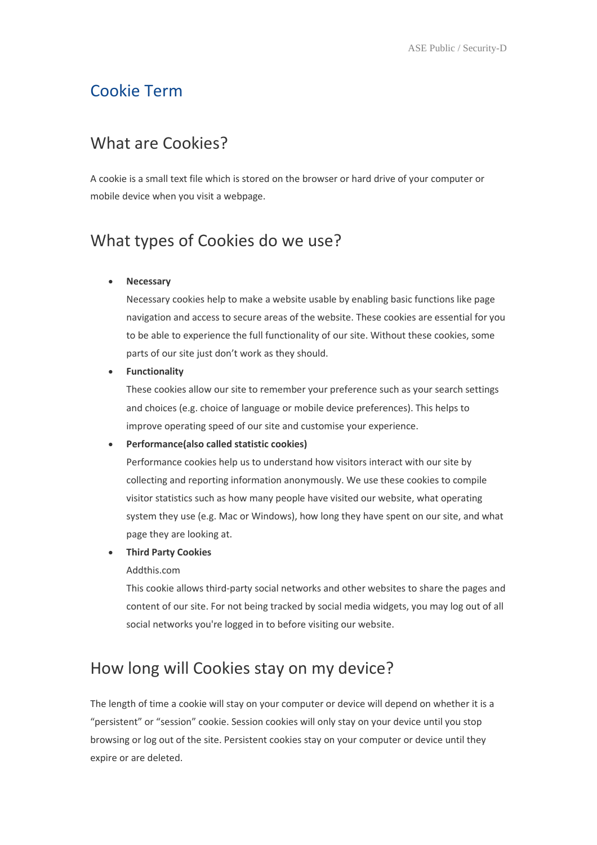## Cookie Term

### What are Cookies?

A cookie is a small text file which is stored on the browser or hard drive of your computer or mobile device when you visit a webpage.

# What types of Cookies do we use?

#### Necessary

Necessary cookies help to make a website usable by enabling basic functions like page navigation and access to secure areas of the website. These cookies are essential for you to be able to experience the full functionality of our site. Without these cookies, some parts of our site just don't work as they should.

#### Functionality

These cookies allow our site to remember your preference such as your search settings and choices (e.g. choice of language or mobile device preferences). This helps to improve operating speed of our site and customise your experience.

#### Performance(also called statistic cookies)

Performance cookies help us to understand how visitors interact with our site by collecting and reporting information anonymously. We use these cookies to compile visitor statistics such as how many people have visited our website, what operating system they use (e.g. Mac or Windows), how long they have spent on our site, and what page they are looking at.

#### Third Party Cookies

#### Addthis.com

This cookie allows third-party social networks and other websites to share the pages and content of our site. For not being tracked by social media widgets, you may log out of all social networks you're logged in to before visiting our website.

# How long will Cookies stay on my device?

The length of time a cookie will stay on your computer or device will depend on whether it is a "persistent" or "session" cookie. Session cookies will only stay on your device until you stop browsing or log out of the site. Persistent cookies stay on your computer or device until they expire or are deleted.